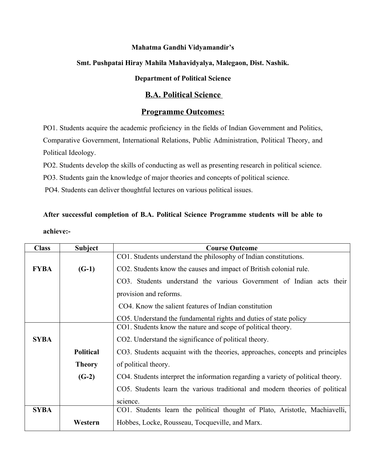#### **Mahatma Gandhi Vidyamandir's**

#### **Smt. Pushpatai Hiray Mahila Mahavidyalya, Malegaon, Dist. Nashik.**

## **Department of Political Science**

### **B.A. Political Science**

### **Programme Outcomes:**

PO1. Students acquire the academic proficiency in the fields of Indian Government and Politics, Comparative Government, International Relations, Public Administration, Political Theory, and Political Ideology.

PO2. Students develop the skills of conducting as well as presenting research in political science.

PO3. Students gain the knowledge of major theories and concepts of political science.

PO4. Students can deliver thoughtful lectures on various political issues.

# **After successful completion of B.A. Political Science Programme students will be able to**

**achieve:-**

| <b>Class</b> | <b>Subject</b>   | <b>Course Outcome</b>                                                            |
|--------------|------------------|----------------------------------------------------------------------------------|
|              |                  | CO1. Students understand the philosophy of Indian constitutions.                 |
| <b>FYBA</b>  | $(G-1)$          | CO2. Students know the causes and impact of British colonial rule.               |
|              |                  | CO3. Students understand the various Government of Indian acts their             |
|              |                  | provision and reforms.                                                           |
|              |                  | CO4. Know the salient features of Indian constitution                            |
|              |                  | CO5. Understand the fundamental rights and duties of state policy                |
|              |                  | CO1. Students know the nature and scope of political theory.                     |
| <b>SYBA</b>  |                  | CO2. Understand the significance of political theory.                            |
|              | <b>Political</b> | CO3. Students acquaint with the theories, approaches, concepts and principles    |
|              | <b>Theory</b>    | of political theory.                                                             |
|              | $(G-2)$          | CO4. Students interpret the information regarding a variety of political theory. |
|              |                  | CO5. Students learn the various traditional and modern theories of political     |
|              |                  | science.                                                                         |
| <b>SYBA</b>  |                  | CO1. Students learn the political thought of Plato, Aristotle, Machiavelli,      |
|              | Western          | Hobbes, Locke, Rousseau, Tocqueville, and Marx.                                  |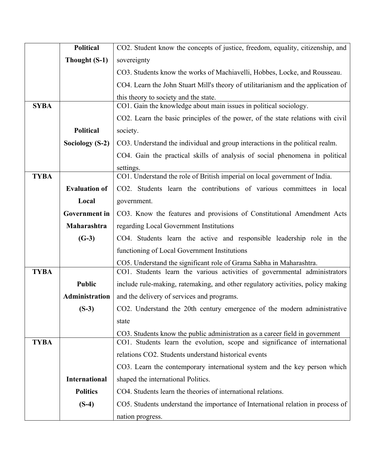|             | <b>Political</b>     | CO2. Student know the concepts of justice, freedom, equality, citizenship, and    |
|-------------|----------------------|-----------------------------------------------------------------------------------|
|             | Thought (S-1)        | sovereignty                                                                       |
|             |                      | CO3. Students know the works of Machiavelli, Hobbes, Locke, and Rousseau.         |
|             |                      | CO4. Learn the John Stuart Mill's theory of utilitarianism and the application of |
|             |                      | this theory to society and the state.                                             |
| <b>SYBA</b> |                      | CO1. Gain the knowledge about main issues in political sociology.                 |
|             |                      | CO2. Learn the basic principles of the power, of the state relations with civil   |
|             | <b>Political</b>     | society.                                                                          |
|             | Sociology $(S-2)$    | CO3. Understand the individual and group interactions in the political realm.     |
|             |                      | CO4. Gain the practical skills of analysis of social phenomena in political       |
|             |                      | settings.                                                                         |
| <b>TYBA</b> |                      | CO1. Understand the role of British imperial on local government of India.        |
|             | <b>Evaluation of</b> | CO2. Students learn the contributions of various committees in local              |
|             | Local                | government.                                                                       |
|             | <b>Government</b> in | CO3. Know the features and provisions of Constitutional Amendment Acts            |
|             | Maharashtra          | regarding Local Government Institutions                                           |
|             | $(G-3)$              | CO4. Students learn the active and responsible leadership role in the             |
|             |                      | functioning of Local Government Institutions                                      |
|             |                      | CO5. Understand the significant role of Grama Sabha in Maharashtra.               |
| <b>TYBA</b> |                      | CO1. Students learn the various activities of governmental administrators         |
|             | <b>Public</b>        | include rule-making, ratemaking, and other regulatory activities, policy making   |
|             | Administration       | and the delivery of services and programs.                                        |
|             | $(S-3)$              | CO2. Understand the 20th century emergence of the modern administrative           |
|             |                      | state                                                                             |
|             |                      | CO3. Students know the public administration as a career field in government      |
| <b>TYBA</b> |                      | CO1. Students learn the evolution, scope and significance of international        |
|             |                      | relations CO2. Students understand historical events                              |
|             |                      | CO3. Learn the contemporary international system and the key person which         |
|             | <b>International</b> | shaped the international Politics.                                                |
|             | <b>Politics</b>      | CO4. Students learn the theories of international relations.                      |
|             | $(S-4)$              | CO5. Students understand the importance of International relation in process of   |
|             |                      | nation progress.                                                                  |